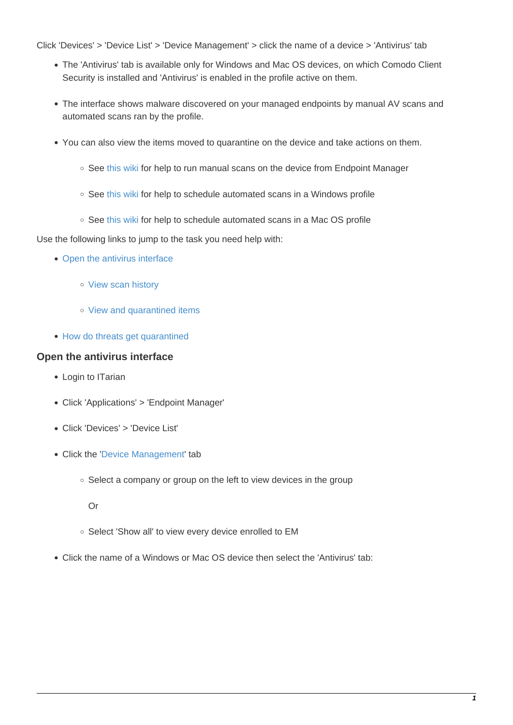Click 'Devices' > 'Device List' > 'Device Management' > click the name of a device > 'Antivirus' tab

- The 'Antivirus' tab is available only for Windows and Mac OS devices, on which Comodo Client Security is installed and 'Antivirus' is enabled in the profile active on them.
- The interface shows malware discovered on your managed endpoints by manual AV scans and automated scans ran by the profile.
- You can also view the items moved to quarantine on the device and take actions on them.
	- $\circ$  See [this wiki](https://wiki.itarian.com/frontend/web/topic/how-to-run-virus-scans-on-devices-from-the-security-sub-systems-menu) for help to run manual scans on the device from Endpoint Manager
	- See [this wiki](https://wiki.itarian.com/frontend/web/topic/how-to-configure-antivirus-settings-in-a-windows-profile) for help to schedule automated scans in a Windows profile
	- See [this wiki](https://wiki.itarian.com/frontend/web/topic/how-to-configure-antivirus-settings-in-a-mac-os-profile) for help to schedule automated scans in a Mac OS profile

Use the following links to jump to the task you need help with:

- [Open the antivirus interface](#page-0-0)
	- o [View scan history](#page-1-0)
	- o [View and quarantined items](#page-2-0)
- [How do threats get quarantined](#page-4-0)

# <span id="page-0-0"></span>**Open the antivirus interface**

- Login to ITarian
- Click 'Applications' > 'Endpoint Manager'
- Click 'Devices' > 'Device List'
- Click the '[Device Management](https://www.itarian.com/device-manager.php)' tab
	- Select a company or group on the left to view devices in the group
		- Or
	- o Select 'Show all' to view every device enrolled to EM
- Click the name of a Windows or Mac OS device then select the 'Antivirus' tab: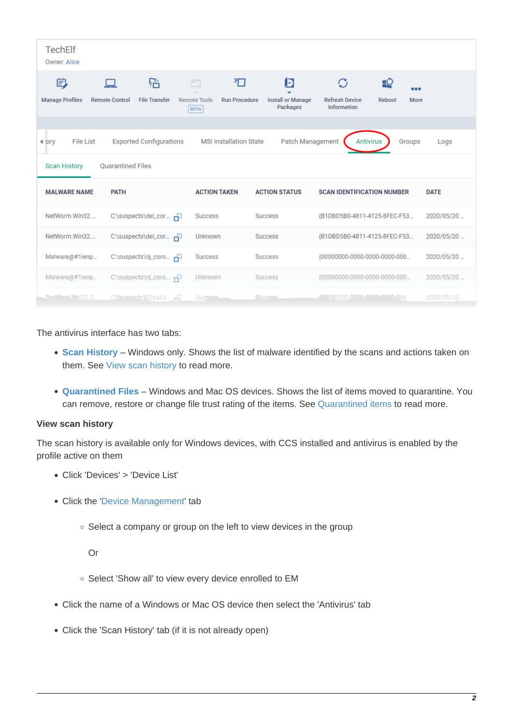| <b>TechElf</b><br>Owner: Alice                                                                                                                                 |                                           |                           |                                         |                                  |                                           |                                                  |                      |             |
|----------------------------------------------------------------------------------------------------------------------------------------------------------------|-------------------------------------------|---------------------------|-----------------------------------------|----------------------------------|-------------------------------------------|--------------------------------------------------|----------------------|-------------|
| 眇<br><b>Manage Profiles</b>                                                                                                                                    | <b>Remote Control</b>                     | 品<br><b>File Transfer</b> | 汮<br><b>Remote Tools</b><br><b>BETA</b> | 扣<br><b>Run Procedure</b>        | D<br><b>Install or Manage</b><br>Packages | O<br><b>Refresh Device</b><br><b>Information</b> | <u> 야.</u><br>Reboot | .<br>More   |
| Patch Management<br><b>MSI Installation State</b><br><b>Antivirus</b><br><b>File List</b><br><b>Exported Configurations</b><br>Groups<br>Logs<br><b>∢</b> jory |                                           |                           |                                         |                                  |                                           |                                                  |                      |             |
| <b>Scan History</b><br><b>MALWARE NAME</b>                                                                                                                     | <b>Ouarantined Files</b><br><b>PATH</b>   |                           |                                         | <b>ACTION TAKEN</b>              | <b>ACTION STATUS</b>                      | <b>SCAN IDENTIFICATION NUMBER</b>                |                      | <b>DATE</b> |
| NetWorm.Win32                                                                                                                                                  |                                           | C:\suspects\del_cor Fil   | <b>Success</b>                          |                                  | <b>Success</b>                            | {B1DBD5B0-4811-4125-8FEC-F53                     |                      | 2020/05/20  |
| NetWorm.Win32                                                                                                                                                  |                                           | C:\suspects\del_cor Fil   | Unknown                                 |                                  | <b>Success</b>                            | {B1DBD5B0-4811-4125-8FEC-F53                     |                      | 2020/05/20  |
|                                                                                                                                                                | Malware@#1ienp<br>C:\suspects\nj_coro Fil |                           |                                         | <b>Success</b><br><b>Success</b> |                                           | {00000000-0000-0000-0000-000                     |                      | 2020/05/20  |
|                                                                                                                                                                | Malware@#1ienp<br>C:\suspects\nj_coro Fil |                           |                                         | Unknown<br><b>Success</b>        |                                           | {00000000-0000-0000-0000-000                     | 2020/05/20           |             |
| <b>TrniMare Win32.C.</b><br>$C$ : suspects $02ca43$                                                                                                            |                                           | <b>Success</b>            | <b>Success</b>                          |                                  | .000000000.0000.0000.0000.000             | 2020/05/20                                       |                      |             |

The antivirus interface has two tabs:

- **[Scan History](#page-1-0)** Windows only. Shows the list of malware identified by the scans and actions taken on them. See [View scan history](#page-1-0) to read more.
- **[Quarantined Files](#page-2-0)** Windows and Mac OS devices. Shows the list of items moved to quarantine. You can remove, restore or change file trust rating of the items. See [Quarantined items](#page-2-0) to read more.

# <span id="page-1-0"></span>**View scan history**

The scan history is available only for Windows devices, with CCS installed and antivirus is enabled by the profile active on them

- Click 'Devices' > 'Device List'
- Click the '[Device Management](https://www.itarian.com/device-manager.php)' tab
	- $\circ$  Select a company or group on the left to view devices in the group

#### Or

- o Select 'Show all' to view every device enrolled to EM
- Click the name of a Windows or Mac OS device then select the 'Antivirus' tab
- Click the 'Scan History' tab (if it is not already open)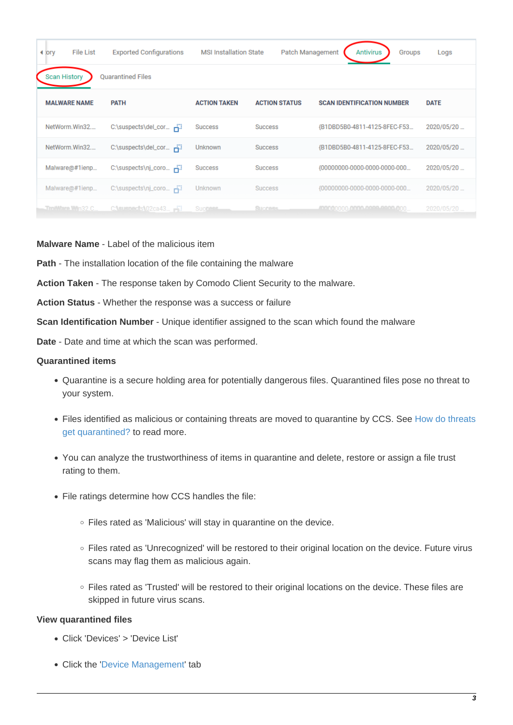| $4$ lory            | <b>File List</b>    | <b>Exported Configurations</b> | <b>MSI Installation State</b> | Patch Management     | <b>Antivirus</b><br>Groups        | Logs        |
|---------------------|---------------------|--------------------------------|-------------------------------|----------------------|-----------------------------------|-------------|
| <b>Scan History</b> |                     | <b>Quarantined Files</b>       |                               |                      |                                   |             |
|                     | <b>MALWARE NAME</b> | <b>PATH</b>                    | <b>ACTION TAKEN</b>           | <b>ACTION STATUS</b> | <b>SCAN IDENTIFICATION NUMBER</b> | <b>DATE</b> |
|                     | NetWorm.Win32       | C:\suspects\del_cor Fil        | <b>Success</b>                | <b>Success</b>       | {B1DBD5B0-4811-4125-8FEC-F53      | 2020/05/20  |
|                     | NetWorm.Win32       | C:\suspects\del_cor F          | <b>Unknown</b>                | <b>Success</b>       | {B1DBD5B0-4811-4125-8FEC-F53      | 2020/05/20  |
|                     | Malware@#1ienp      | C:\suspects\nj_coro Fil        | <b>Success</b>                | <b>Success</b>       | {00000000-0000-0000-0000-000      | 2020/05/20  |
|                     | Malware@#1ienp      | C:\suspects\nj_coro Fill       | Unknown                       | <b>Success</b>       | {00000000-0000-0000-0000-000      | 2020/05/20  |
|                     | TmiWare Win32.C     | $C$ is uspects 02ca43          | <b>Success</b>                | Success.             |                                   | 2020/05/20  |

#### **Malware Name** - Label of the malicious item

**Path** - The installation location of the file containing the malware

**Action Taken** - The response taken by Comodo Client Security to the malware.

**Action Status** - Whether the response was a success or failure

**Scan Identification Number** - Unique identifier assigned to the scan which found the malware

**Date** - Date and time at which the scan was performed.

#### <span id="page-2-0"></span>**Quarantined items**

- Quarantine is a secure holding area for potentially dangerous files. Quarantined files pose no threat to your system.
- Files identified as malicious or containing threats are moved to quarantine by CCS. See [How do threats](#page-4-0) [get quarantined?](#page-4-0) to read more.
- You can analyze the trustworthiness of items in quarantine and delete, restore or assign a file trust rating to them.
- File ratings determine how CCS handles the file:
	- Files rated as 'Malicious' will stay in quarantine on the device.
	- Files rated as 'Unrecognized' will be restored to their original location on the device. Future virus scans may flag them as malicious again.
	- Files rated as 'Trusted' will be restored to their original locations on the device. These files are skipped in future virus scans.

#### **View quarantined files**

- Click 'Devices' > 'Device List'
- Click the '[Device Management](https://www.itarian.com/device-manager.php)' tab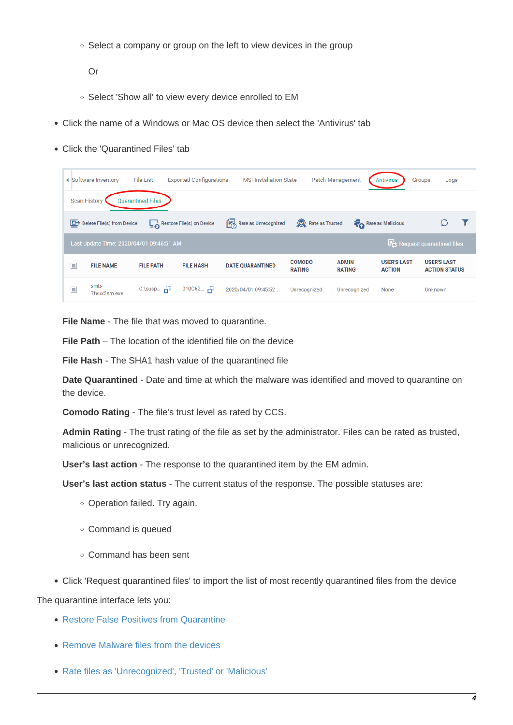$\circ$  Select a company or group on the left to view devices in the group

Or

- o Select 'Show all' to view every device enrolled to EM
- Click the name of a Windows or Mac OS device then select the 'Antivirus' tab
- Click the 'Quarantined Files' tab

|                                                 | ◀ Software Inventory                                                  | <b>File List</b>          | <b>Exported Configurations</b> | <b>MSI Installation State</b> |                                | Patch Management              | <b>Antivirus</b>                    | Groups<br>Logs                             |  |
|-------------------------------------------------|-----------------------------------------------------------------------|---------------------------|--------------------------------|-------------------------------|--------------------------------|-------------------------------|-------------------------------------|--------------------------------------------|--|
| <b>Quarantined Files</b><br><b>Scan History</b> |                                                                       |                           |                                |                               |                                |                               |                                     |                                            |  |
| $\mathbb{E}$                                    | Delete File(s) from Device                                            |                           | Restore File(s) on Device      | Rate as Unrecognized          | Rate as Trusted                |                               | Rate as Malicious                   |                                            |  |
|                                                 | Request quarantined files<br>Last Update Time: 2020/04/01 09:46:51 AM |                           |                                |                               |                                |                               |                                     |                                            |  |
| П                                               | <b>FILE NAME</b>                                                      | <b>FILE PATH</b>          | <b>FILE HASH</b>               | <b>DATE QUARANTINED</b>       | <b>COMODO</b><br><b>RATING</b> | <b>ADMIN</b><br><b>RATING</b> | <b>USER'S LAST</b><br><b>ACTION</b> | <b>USER'S LAST</b><br><b>ACTION STATUS</b> |  |
| $\Box$                                          | smb-<br>7teux2sm.exe                                                  | $C:\$ susp $\overline{1}$ | $010C62$ $-11$                 | 2020/04/01 09:45:52           | Unrecognized                   | Unrecognized                  | None                                | <b>Unknown</b>                             |  |

**File Name** - The file that was moved to quarantine.

**File Path** – The location of the identified file on the device

**File Hash** - The SHA1 hash value of the quarantined file

**Date Quarantined** - Date and time at which the malware was identified and moved to quarantine on the device.

**Comodo Rating** - The file's trust level as rated by CCS.

**Admin Rating** - The trust rating of the file as set by the administrator. Files can be rated as trusted, malicious or unrecognized.

**User's last action** - The response to the quarantined item by the EM admin.

**User's last action status** - The current status of the response. The possible statuses are:

- o Operation failed. Try again.
- Command is queued
- Command has been sent
- Click 'Request quarantined files' to import the list of most recently quarantined files from the device

The quarantine interface lets you:

- [Restore False Positives from Quarantine](#page-3-0)
- [Remove Malware files from the devices](#page-4-1)
- <span id="page-3-0"></span>[Rate files as 'Unrecognized', 'Trusted' or 'Malicious'](#page-4-2)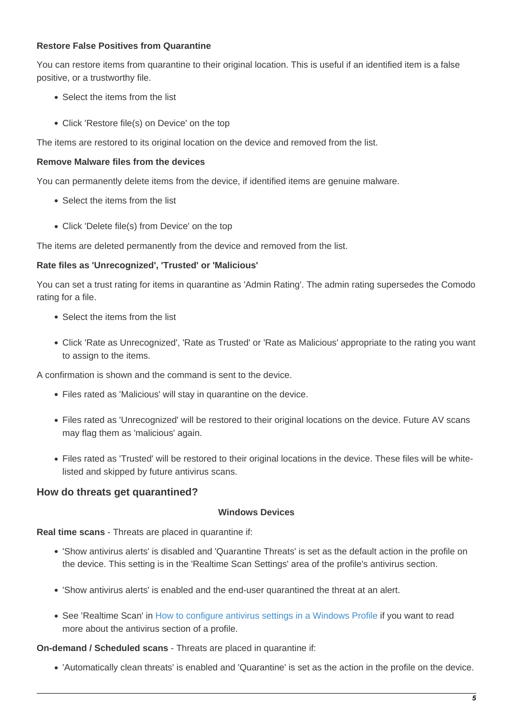# **Restore False Positives from Quarantine**

You can restore items from quarantine to their original location. This is useful if an identified item is a false positive, or a trustworthy file.

- Select the items from the list
- Click 'Restore file(s) on Device' on the top

The items are restored to its original location on the device and removed from the list.

# <span id="page-4-1"></span>**Remove Malware files from the devices**

You can permanently delete items from the device, if identified items are genuine malware.

- Select the items from the list
- Click 'Delete file(s) from Device' on the top

The items are deleted permanently from the device and removed from the list.

## <span id="page-4-2"></span>**Rate files as 'Unrecognized', 'Trusted' or 'Malicious'**

You can set a trust rating for items in quarantine as 'Admin Rating'. The admin rating supersedes the Comodo rating for a file.

- Select the items from the list
- Click 'Rate as Unrecognized', 'Rate as Trusted' or 'Rate as Malicious' appropriate to the rating you want to assign to the items.

A confirmation is shown and the command is sent to the device.

- Files rated as 'Malicious' will stay in quarantine on the device.
- Files rated as 'Unrecognized' will be restored to their original locations on the device. Future AV scans may flag them as 'malicious' again.
- Files rated as 'Trusted' will be restored to their original locations in the device. These files will be whitelisted and skipped by future antivirus scans.

# <span id="page-4-0"></span>**How do threats get quarantined?**

#### **Windows Devices**

**Real time scans** - Threats are placed in quarantine if:

- 'Show antivirus alerts' is disabled and 'Quarantine Threats' is set as the default action in the profile on the device. This setting is in the 'Realtime Scan Settings' area of the profile's antivirus section.
- 'Show antivirus alerts' is enabled and the end-user quarantined the threat at an alert.
- See 'Realtime Scan' in [How to configure antivirus settings in a Windows Profile](https://wiki.itarian.com/frontend/web/topic/how-to-configure-antivirus-settings-in-a-windows-profile) if you want to read more about the antivirus section of a profile.

#### **On-demand / Scheduled scans** - Threats are placed in quarantine if:

'Automatically clean threats' is enabled and 'Quarantine' is set as the action in the profile on the device.